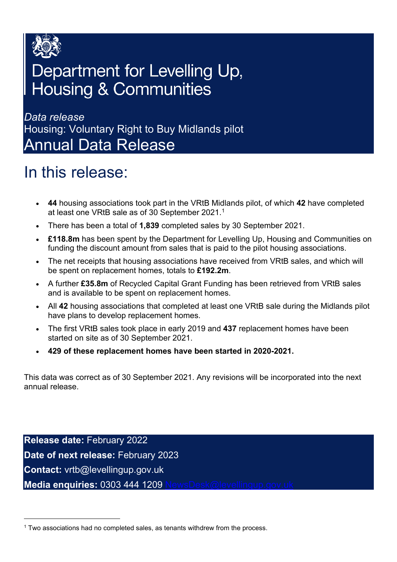

### Department for Levelling Up, **Housing & Communities**

*Data release*  Housing: Voluntary Right to Buy Midlands pilot Annual Data Release

### <span id="page-0-1"></span>In this release:

- **44** housing associations took part in the VRtB Midlands pilot, of which **42** have completed at least one VRtB sale as of 30 September 2021.[1](#page-0-0)
- There has been a total of **1,839** completed sales by 30 September 2021.
- **£118.8m** has been spent by the Department for Levelling Up, Housing and Communities on funding the discount amount from sales that is paid to the pilot housing associations.
- The net receipts that housing associations have received from VRtB sales, and which will be spent on replacement homes, totals to **£192.2m**.
- A further **£35.8m** of Recycled Capital Grant Funding has been retrieved from VRtB sales and is available to be spent on replacement homes.
- All **42** housing associations that completed at least one VRtB sale during the Midlands pilot have plans to develop replacement homes.
- The first VRtB sales took place in early 2019 and **437** replacement homes have been started on site as of 30 September 2021.
- **429 of these replacement homes have been started in 2020-2021.**

This data was correct as of 30 September 2021. Any revisions will be incorporated into the next annual release.

**Release date:** February 2022 **Date of next release:** February 2023 **Contact:** vrtb@levellingup.gov.uk **Media enquiries: 0303 444 1209** 

<span id="page-0-0"></span><sup>1</sup> Two associations had no completed sales, as tenants withdrew from the process.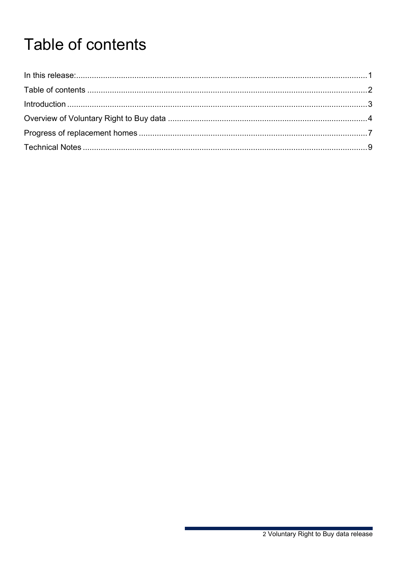# <span id="page-1-0"></span>Table of contents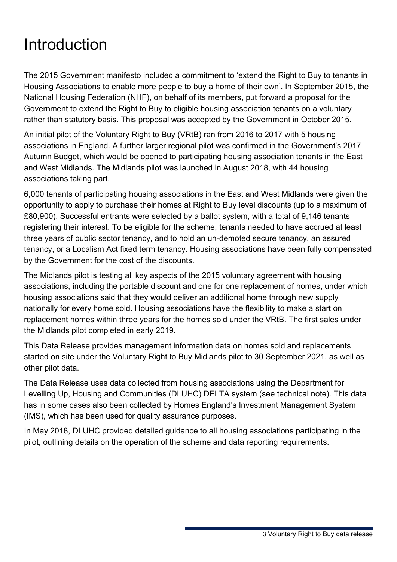### <span id="page-2-0"></span>**Introduction**

The 2015 Government manifesto included a commitment to 'extend the Right to Buy to tenants in Housing Associations to enable more people to buy a home of their own'. In September 2015, the National Housing Federation (NHF), on behalf of its members, put forward a proposal for the Government to extend the Right to Buy to eligible housing association tenants on a voluntary rather than statutory basis. This proposal was accepted by the Government in October 2015.

An initial pilot of the Voluntary Right to Buy (VRtB) ran from 2016 to 2017 with 5 housing associations in England. A further larger regional pilot was confirmed in the Government's 2017 Autumn Budget, which would be opened to participating housing association tenants in the East and West Midlands. The Midlands pilot was launched in August 2018, with 44 housing associations taking part.

6,000 tenants of participating housing associations in the East and West Midlands were given the opportunity to apply to purchase their homes at Right to Buy level discounts (up to a maximum of £80,900). Successful entrants were selected by a ballot system, with a total of 9,146 tenants registering their interest. To be eligible for the scheme, tenants needed to have accrued at least three years of public sector tenancy, and to hold an un-demoted secure tenancy, an assured tenancy, or a Localism Act fixed term tenancy. Housing associations have been fully compensated by the Government for the cost of the discounts.

The Midlands pilot is testing all key aspects of the 2015 voluntary agreement with housing associations, including the portable discount and one for one replacement of homes, under which housing associations said that they would deliver an additional home through new supply nationally for every home sold. Housing associations have the flexibility to make a start on replacement homes within three years for the homes sold under the VRtB. The first sales under the Midlands pilot completed in early 2019.

This Data Release provides management information data on homes sold and replacements started on site under the Voluntary Right to Buy Midlands pilot to 30 September 2021, as well as other pilot data.

The Data Release uses data collected from housing associations using the Department for Levelling Up, Housing and Communities (DLUHC) DELTA system (see technical note). This data has in some cases also been collected by Homes England's Investment Management System (IMS), which has been used for quality assurance purposes.

In May 2018, DLUHC provided detailed guidance to all housing associations participating in the pilot, outlining details on the operation of the scheme and data reporting requirements.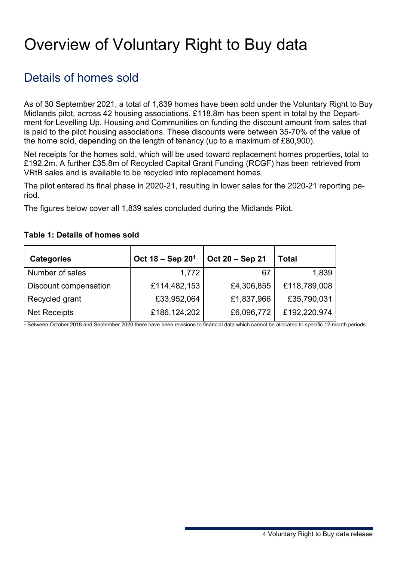## <span id="page-3-0"></span>Overview of Voluntary Right to Buy data

### Details of homes sold

As of 30 September 2021, a total of 1,839 homes have been sold under the Voluntary Right to Buy Midlands pilot, across 42 housing associations. £118.8m has been spent in total by the Department for Levelling Up, Housing and Communities on funding the discount amount from sales that is paid to the pilot housing associations. These discounts were between 35-70% of the value of the home sold, depending on the length of tenancy (up to a maximum of £80,900).

Net receipts for the homes sold, which will be used toward replacement homes properties, total to £192.2m. A further £35.8m of Recycled Capital Grant Funding (RCGF) has been retrieved from VRtB sales and is available to be recycled into replacement homes.

The pilot entered its final phase in 2020-21, resulting in lower sales for the 2020-21 reporting period.

The figures below cover all 1,839 sales concluded during the Midlands Pilot.

#### **Table 1: Details of homes sold**

| <b>Categories</b>     | Oct $18 -$ Sep $201$ | Oct 20 - Sep 21 | <b>Total</b> |
|-----------------------|----------------------|-----------------|--------------|
| Number of sales       | 1,772                | 67              | 1,839        |
| Discount compensation | £114,482,153         | £4,306,855      | £118,789,008 |
| Recycled grant        | £33,952,064          | £1,837,966      | £35,790,031  |
| <b>Net Receipts</b>   | £186,124,202         | £6,096,772      | £192,220,974 |

**<sup>1</sup>** Between October 2018 and September 2020 there have been revisions to financial data which cannot be allocated to specific 12-month periods.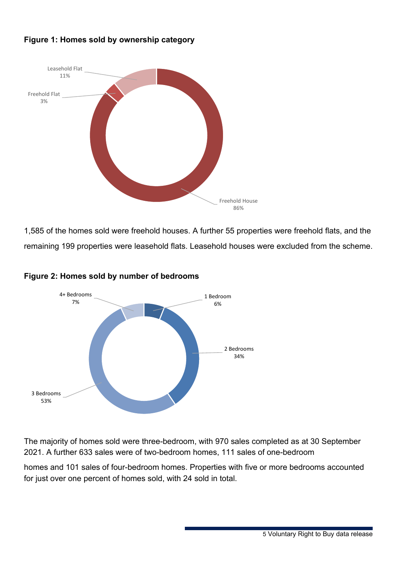#### **Figure 1: Homes sold by ownership category**



1,585 of the homes sold were freehold houses. A further 55 properties were freehold flats, and the remaining 199 properties were leasehold flats. Leasehold houses were excluded from the scheme.



#### **Figure 2: Homes sold by number of bedrooms**

The majority of homes sold were three-bedroom, with 970 sales completed as at 30 September 2021. A further 633 sales were of two-bedroom homes, 111 sales of one-bedroom

homes and 101 sales of four-bedroom homes. Properties with five or more bedrooms accounted for just over one percent of homes sold, with 24 sold in total.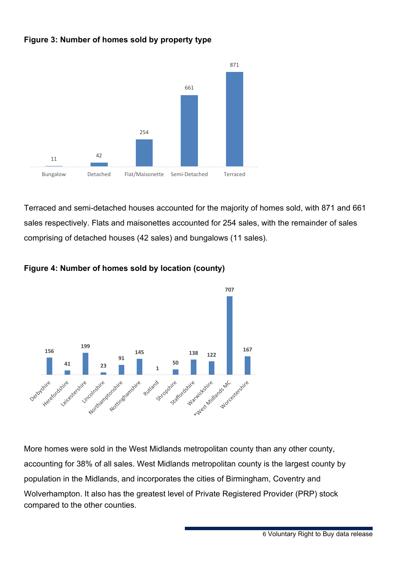#### **Figure 3: Number of homes sold by property type**



Terraced and semi-detached houses accounted for the majority of homes sold, with 871 and 661 sales respectively. Flats and maisonettes accounted for 254 sales, with the remainder of sales comprising of detached houses (42 sales) and bungalows (11 sales).



#### **Figure 4: Number of homes sold by location (county)**

More homes were sold in the West Midlands metropolitan county than any other county, accounting for 38% of all sales. West Midlands metropolitan county is the largest county by population in the Midlands, and incorporates the cities of Birmingham, Coventry and Wolverhampton. It also has the greatest level of Private Registered Provider (PRP) stock compared to the other counties.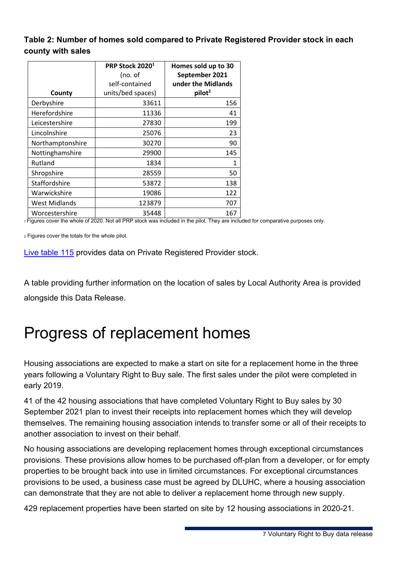#### **Table 2: Number of homes sold compared to Private Registered Provider stock in each county with sales**

| County               | PRP Stock 2020 <sup>1</sup><br>(no. of<br>self-contained<br>units/bed spaces) | Homes sold up to 30<br>September 2021<br>under the Midlands<br>pilot <sup>2</sup> |
|----------------------|-------------------------------------------------------------------------------|-----------------------------------------------------------------------------------|
| Derbyshire           | 33611                                                                         | 156                                                                               |
| Herefordshire        | 11336                                                                         | 41                                                                                |
| Leicestershire       | 27830                                                                         | 199                                                                               |
| Lincolnshire         | 25076                                                                         | 23                                                                                |
| Northamptonshire     | 30270                                                                         | 90                                                                                |
| Nottinghamshire      | 29900                                                                         | 145                                                                               |
| Rutland              | 1834                                                                          | 1                                                                                 |
| Shropshire           | 28559                                                                         | 50                                                                                |
| Staffordshire        | 53872                                                                         | 138                                                                               |
| Warwickshire         | 19086                                                                         | 122                                                                               |
| <b>West Midlands</b> | 123879                                                                        | 707                                                                               |
| Worcestershire       | 35448                                                                         | 167                                                                               |

1 Figures cover the whole of 2020. Not all PRP stock was included in the pilot. They are included for comparative purposes only.

2 Figures cover the totals for the whole pilot.

[Live table 115](https://www.gov.uk/government/statistical-data-sets/live-tables-on-dwelling-stock-including-vacants) provides data on Private Registered Provider stock.

A table providing further information on the location of sales by Local Authority Area is provided alongside this Data Release.

### <span id="page-6-0"></span>Progress of replacement homes

Housing associations are expected to make a start on site for a replacement home in the three years following a Voluntary Right to Buy sale. The first sales under the pilot were completed in early 2019.

41 of the 42 housing associations that have completed Voluntary Right to Buy sales by 30 September 2021 plan to invest their receipts into replacement homes which they will develop themselves. The remaining housing association intends to transfer some or all of their receipts to another association to invest on their behalf.

No housing associations are developing replacement homes through exceptional circumstances provisions. These provisions allow homes to be purchased off-plan from a developer, or for empty properties to be brought back into use in limited circumstances. For exceptional circumstances provisions to be used, a business case must be agreed by DLUHC, where a housing association can demonstrate that they are not able to deliver a replacement home through new supply.

429 replacement properties have been started on site by 12 housing associations in 2020-21.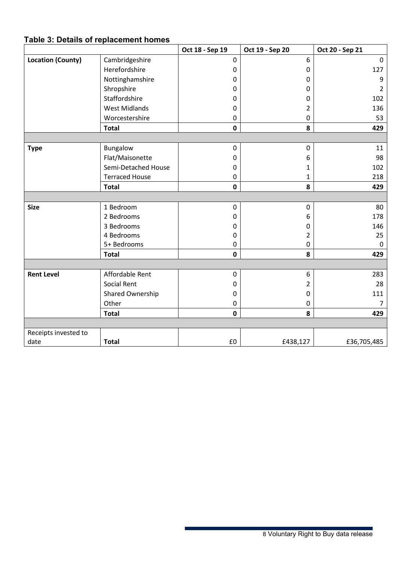### **Table 3: Details of replacement homes**

|                          |                       | Oct 18 - Sep 19 | Oct 19 - Sep 20 | Oct 20 - Sep 21 |
|--------------------------|-----------------------|-----------------|-----------------|-----------------|
| <b>Location (County)</b> | Cambridgeshire        | $\mathbf 0$     | 6               | $\Omega$        |
|                          | Herefordshire         | 0               | $\pmb{0}$       | 127             |
|                          | Nottinghamshire       | 0               | 0               | 9               |
|                          | Shropshire            | 0               | $\mathbf{0}$    | $\overline{2}$  |
|                          | Staffordshire         | 0               | 0               | 102             |
|                          | <b>West Midlands</b>  | 0               | 2               | 136             |
|                          | Worcestershire        | 0               | $\pmb{0}$       | 53              |
|                          | <b>Total</b>          | 0               | 8               | 429             |
|                          |                       |                 |                 |                 |
| <b>Type</b>              | Bungalow              | $\pmb{0}$       | 0               | 11              |
|                          | Flat/Maisonette       | 0               | 6               | 98              |
|                          | Semi-Detached House   | 0               | 1               | 102             |
|                          | <b>Terraced House</b> | $\mathbf 0$     | 1               | 218             |
|                          | <b>Total</b>          | $\mathbf 0$     | 8               | 429             |
|                          |                       |                 |                 |                 |
| <b>Size</b>              | 1 Bedroom             | $\pmb{0}$       | $\pmb{0}$       | 80              |
|                          | 2 Bedrooms            | 0               | 6               | 178             |
|                          | 3 Bedrooms            | 0               | 0               | 146             |
|                          | 4 Bedrooms            | 0               | $\overline{2}$  | 25              |
|                          | 5+ Bedrooms           | 0               | 0               | 0               |
|                          | <b>Total</b>          | $\mathbf 0$     | 8               | 429             |
|                          |                       |                 |                 |                 |
| <b>Rent Level</b>        | Affordable Rent       | $\mathbf 0$     | 6               | 283             |
|                          | Social Rent           | 0               | $\overline{2}$  | 28              |
|                          | Shared Ownership      | 0               | 0               | 111             |
|                          | Other                 | 0               | $\pmb{0}$       | $\overline{7}$  |
|                          | <b>Total</b>          | $\mathbf 0$     | 8               | 429             |
|                          |                       |                 |                 |                 |
| Receipts invested to     |                       |                 |                 |                 |
| date                     | <b>Total</b>          | £0              | £438,127        | £36,705,485     |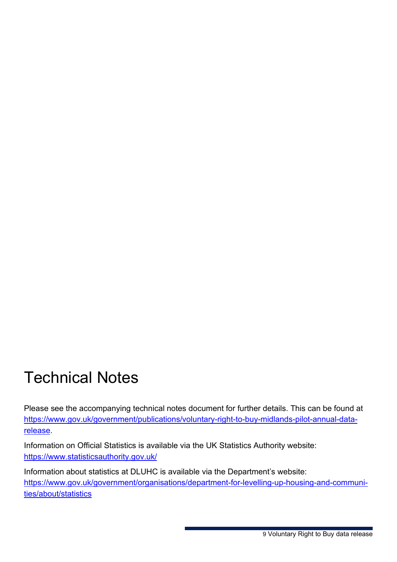### <span id="page-8-0"></span>Technical Notes

Please see the accompanying technical notes document for further details. This can be found at [https://www.gov.uk/government/publications/voluntary-right-to-buy-midlands-pilot-annual-data](https://www.gov.uk/government/publications/voluntary-right-to-buy-midlands-pilot-annual-data-release)[release.](https://www.gov.uk/government/publications/voluntary-right-to-buy-midlands-pilot-annual-data-release)

Information on Official Statistics is available via the UK Statistics Authority website: <https://www.statisticsauthority.gov.uk/>

Information about statistics at DLUHC is available via the Department's website: https://www.gov.uk/government/organisations/department-for-levelling-up-housing-and-communities/about/statistics